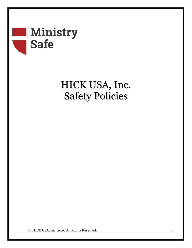# Ministry **Safe**

## HICK USA, Inc. Safety Policies

© HICK USA, Inc. 2020 All Rights Reserved. *- 1 -*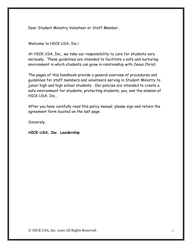Dear Student Ministry Volunteer or Staff Member,

Welcome to HICK USA, Inc.!

At HICK USA, Inc., we take our responsibility to care for students very seriously. These guidelines are intended to facilitate a safe and nurturing environment in which students can grow in relationship with Jesus Christ.

The pages of this handbook provide a general overview of procedures and guidelines for staff members and volunteers serving in Student Ministry to junior high and high school students. Our policies are intended to create a safe environment for students, protecting students, you, and the mission of HICK USA, Inc..

After you have carefully read this policy manual, please sign and return the agreement form located on the last page.

Sincerely,

*HICK USA, Inc. Leadership*

© HICK USA, Inc. 2020 All Rights Reserved. *- 2 -*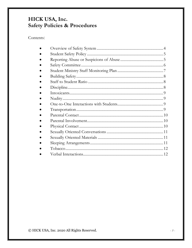## HICK USA, Inc. **Safety Policies & Procedures**

## Contents:

© HICK USA, Inc. 2020 All Rights Reserved.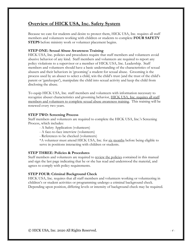## **Overview of HICK USA, Inc. Safety System**

Because we care for students and desire to protect them, HICK USA, Inc. requires all staff members and volunteers working with children or students to complete **FOUR SAFETY STEPS** before ministry work or volunteer placement begins.

#### **STEP ONE: Sexual Abuse Awareness Training**

HICK USA, Inc. policies and procedures require that staff members and volunteers avoid abusive behavior of any kind. Staff members and volunteers are required to report any policy violations to a supervisor or a member of HICK USA, Inc. Leadership. Staff members and volunteers should have a basic understanding of the characteristics of sexual abusers and their behaviors in 'grooming' a student for sexual abuse. Grooming is the process used by an abuser to select a child, win the child's trust (and the trust of the child's parent or 'gatekeeper'), manipulate the child into sexual activity and keep the child from disclosing the abuse.

To equip HICK USA, Inc. staff members and volunteers with information necessary to recognize abuser characteristics and grooming behavior, HICK USA, Inc. requires all staff members and volunteers to complete sexual abuse awareness training. This training will be renewed every two years.

#### **STEP TWO: Screening Process**

Staff members and volunteers are required to complete the HICK USA, Inc.'s Screening Process, which includes:

- A Safety Application (volunteers)
- A face-to-face interview (volunteers)
- References to be checked (volunteers)

\*A volunteer must attend HICK USA, Inc. for six months before being eligible to serve in positions interacting with children or students.

#### **STEP THREE: Policies & Procedures**

Staff members and volunteers are required to review the policies contained in this manual and sign the last page indicating that he or she has read and understood the material, and agrees to comply with policy requirements.

#### **STEP FOUR: Criminal Background Check**

HICK USA, Inc. requires that all staff members and volunteers working or volunteering in children's or student activities or programming undergo a criminal background check. Depending upon position, differing levels or intensity of background check may be required.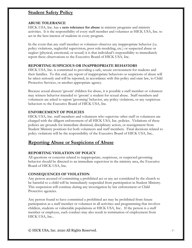### **Student Safety Policy**

#### **ABUSE TOLERANCE**

HICK USA, Inc. has a **zero tolerance for abuse** in ministry programs and ministry activities. It is the responsibility of every staff member and volunteer at HICK USA, Inc. to act in the best interest of students in every program.

In the event that any staff member or volunteer observes any inappropriate behavior (i.e. policy violations, neglectful supervision, poor role-modeling, etc.) or suspected abuse or neglect (physical, emotional, or sexual) it is that individual's responsibility to immediately report these observations to the Executive Board of HICK USA, Inc.

#### **REPORTING SUSPICIOUS OR INAPPROPRIATE BEHAVIORS**

HICK USA, Inc. is committed to providing a safe, secure environment for students and their families. To this end, any report of inappropriate behaviors or suspicions of abuse will be taken seriously and will be reported, in accordance with this policy and state law, to Child Protective Services, or another appropriate agency.

Because sexual abusers 'groom' children for abuse, it is possible a staff member or volunteer may witness behavior intended to 'groom' a student for sexual abuse. Staff members and volunteers are asked to report 'grooming' behavior, any policy violations, or any suspicious behaviors to the Executive Board of HICK USA, Inc.

#### **ENFORCEMENT OF POLICIES**

HICK USA, Inc. staff members and volunteers who supervise other staff or volunteers are charged with the diligent enforcement of all HICK USA, Inc. policies. Violations of these policies are grounds for immediate dismissal, disciplinary action, or reassignment from Student Ministry positions for both volunteers and staff members. Final decisions related to policy violations will be the responsibility of the Executive Board of HICK USA, Inc..

## **Reporting Abuse or Suspicions of Abuse**

#### **REPORTING VIOLATION OF POLICY**

All questions or concerns related to inappropriate, suspicious, or suspected grooming behavior should be directed to an immediate supervisor in the ministry area, the Executive Board of HICK USA, Inc.

#### **CONSEQUENCES OF VIOLATION**

Any person accused of committing a prohibited act or any act considered by the church to be harmful to a child will be immediately suspended from participation in Student Ministry. This suspension will continue during any investigation by law enforcement or Child Protective agencies.

Any person found to have committed a prohibited act may be prohibited from future participation as a staff member or volunteer in all activities and programming that involves children, students or vulnerable populations at HICK USA, Inc.. If the person is a staff member or employee, such conduct may also result in termination of employment from HICK USA, Inc..

© HICK USA, Inc. 2020 All Rights Reserved. *- 5 -*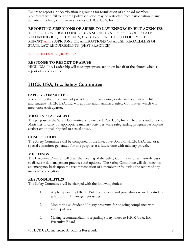Failure to report a policy violation is grounds for termination of an board member. Volunteers who fail to report a policy violation may be restricted from participation in any activities involving children or students at HICK USA, Inc..

#### **REPORTING SUSPICIONS OF ABUSE TO LAW ENFORCEMENT AGENCIES**

THIS SECTION SHOULD INCLUDE A SHORT SYNOPSIS OF YOUR STATE REPORTING REQUIREMENTS, *UNLESS* YOUR CHURCH POLICY IS TO REPORT ALL SUSPICIONS OR ALLEGATIONS OF ABUSE, REGARDLESS OF STATE LAW REQUIREMENTS. (BEST PRACTICE)

#### WHEN IN DOUBT, *REPORT!*

#### **RESPONSE TO REPORT OF ABUSE**

HICK USA, Inc. Leadership will take appropriate action on behalf of the church when a report of abuse occurs.

## **HICK USA, Inc. Safety Committee**

#### **SAFETY COMMITTEE**

Recognizing the importance of providing and maintaining a safe environment for children and students, HICK USA, Inc. will appoint and maintain a Safety Committee, which will meet once each quarter.

#### **MISSION STATEMENT**

The purpose of the Safety Committee is to enable HICK USA, Inc.'s Children's and Student Ministries to carry out appropriate ministry activities while safeguarding program participants against emotional, physical or sexual abuse.

#### **COMPOSITION**

The Safety Committee will be comprised of the Executive Board of HICK USA, Inc. or a special committee generated for this purpose at a future time with ministry growth.

#### **MEETINGS**

The Executive Director will chair the meeting of the Safety Committee on a quarterly basis to discuss risk management practices and updates. The Safety Committee will also meet on an emergency basis upon the recommendation of a member or following the report of any incident or allegation.

#### **RESPONSIBILITIES**

The Safety Committee will be charged with the following duties:

- 1. Applying existing HICK USA, Inc. policies and procedures related to student safety and risk management issues.
- 2. Monitoring all Student Ministry programs for ongoing compliance with safety policies.
- 3. Making recommendations regarding safety issues to HICK USA, Inc. Executive Board

© HICK USA, Inc. 2020 All Rights Reserved. *- 6 -*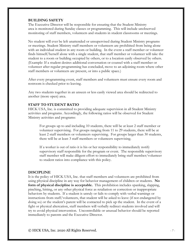#### **BUILDING SAFETY**

The Executive Director will be responsible for ensuring that the Student Ministry area is monitored during Sunday classes or programming. This will include unobserved monitoring of staff members, volunteers and students in student classrooms or meetings.

No student will ever be left unattended or unsupervised during Student Ministry programs or meetings. Student Ministry staff members or volunteers are prohibited from being alone with an individual student in any room or building. In the event a staff member or volunteer finds himself/herself alone with a single student, that staff member or volunteer will take the student to a room or building occupied by others, or to a location easily observed by others. (Example: If a student desires additional conversation or counsel with a staff member or volunteer after regular programming has concluded, move to an adjoining room where other staff members or volunteers are present, or into a public space.)

After every programming event, staff members and volunteers must ensure every room and restroom is checked prior to leaving.

Any two students together in an unseen or less easily viewed area should be redirected to another (more open) area.

#### **STAFF TO STUDENT RATIO**

HICK USA, Inc. is committed to providing adequate supervision in all Student Ministry activities and programs. Accordingly, the following ratios will be observed for Student Ministry activities and programs:

For groups up to and including 10 students, there will be at least 2 staff member or volunteer supervising. For groups ranging from 11 to 29 students, there will be at least 2 staff members or volunteers supervising. For groups larger than 30 students, there will be at least 3 staff members or volunteers supervising.

If a worker is out of ratio it is his or her responsibility to immediately notify supervisory staff responsible for the program or event. The responsible supervisory staff member will make diligent effort to immediately bring staff member/volunteer to student ratios into compliance with this policy.

#### **DISCIPLINE**

It is the policy of HICK USA, Inc. that staff members and volunteers are prohibited from using physical discipline in any way for behavior management of children or students. **No form of physical discipline is acceptable.** This prohibition includes spanking, slapping, pinching, hitting, or any other physical force as retaliation or correction or inappropriate behaviors by students. If a student is unruly or fails to comply with verbal warnings or instructions from staff/volunteers, that student will be asked to leave (if not endangered by doing so) or the student's parent will be contacted to pick up the student. In the event of a fight or physical altercation, staff members will verbally redirect students involved and will try to avoid physical intervention. Uncontrollable or unusual behavior should be reported immediately to parents and the Executive Director.

© HICK USA, Inc. 2020 All Rights Reserved. *- 7 -*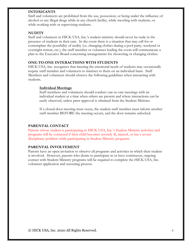#### **INTOXICANTS**

Staff and volunteers are prohibited from the use, possession, or being under the influence of alcohol or any illegal drugs while in any church facility, while traveling with students, or while working with or supervising students.

#### **NUDITY**

Staff and volunteers in HICK USA, Inc.'s student ministry should never be nude in the presence of students in their care. In the event there is a situation that may call for or contemplate the possibility of nudity (i.e. changing clothes during a pool party, weekend or overnight retreat, etc.), the staff member or volunteer leading the event will communicate a plan to the Executive Board concerning arrangements for showering or changing clothes.

#### **ONE-TO-ONE INTERACTIONS WITH STUDENTS**

HICK USA, Inc. recognizes that meeting the emotional needs of students may occasionally require staff member and volunteers to minister to them on an individual basis. Staff Members and volunteers should observe the following guidelines when interacting with students.

#### **Individual Meetings**

Staff members and volunteers should conduct one-to-one meetings with an individual student at a time when others are present and where interactions can be easily observed, unless prior approval is obtained from the Student Minister.

If a closed-door meeting must occur, the student staff member must inform another staff member BEFORE the meeting occurs, and the door remains unlocked.

#### **PARENTAL CONTACT**

Parents whose student is participating in HICK USA, Inc.'s Student Ministry activities and programs will be contacted if their child becomes severely ill, injured, or has a severe disciplinary problem while participating in Student Ministry programs.

#### **PARENTAL INVOLVEMENT**

Parents have an open invitation to observe all programs and activities in which their student is involved. However, parents who desire to participate in or have continuous, ongoing contact with Student Ministry programs will be required to complete the HICK USA, Inc. volunteer application and screening process.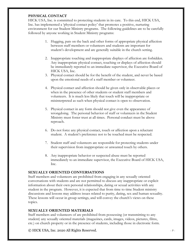#### **PHYSICAL CONTACT**

HICK USA, Inc. is committed to protecting students in its care. To this end, HICK USA, Inc. has implemented a 'physical contact policy' that promotes a positive, nurturing environment for our Student Ministry programs. The following guidelines are to be carefully followed by anyone working in Student Ministry programs:

- 1. Hugging, pats on the back and other forms of appropriate physical affection between staff members or volunteers and students are important for student's development and are generally suitable in the church setting.
- 2. Inappropriate touching and inappropriate displays of affection are forbidden. Any inappropriate physical contact, touching or displays of affection should be immediately reported to an immediate supervisor, the Executive Board of HICK USA, Inc.
- 3. Physical contact should be for the benefit of the student, and never be based upon the emotional needs of a staff member or volunteer.
- 4. Physical contact and affection should be given only in observable places or when in the presence of other students or student staff members and volunteers. It is much less likely that touch will be inappropriate or misinterpreted as such when physical contact is open to observation.
- 5. Physical contact in any form should not give even the appearance of wrongdoing. The personal behavior of staff or volunteers in the Student Ministry must foster trust at all times. Personal conduct must be above reproach.
- 6. Do not force any physical contact, touch or affection upon a reluctant student. A student's preference not to be touched must be respected.
- 7. Student staff and volunteers are responsible for protecting students under their supervision from inappropriate or unwanted touch by others.
- 8. Any inappropriate behavior or suspected abuse must be reported immediately to an immediate supervisor, the Executive Board of HICK USA, Inc.

#### **SEXUALLY ORIENTED CONVERSATIONS**

Staff members and volunteers are prohibited from engaging in any sexually oriented conversations with students and are not permitted to discuss any inappropriate or explicit information about their own personal relationships, dating or sexual activities with any student in the program. However, it is expected that from time to time Student ministry discussions and lessons may address issues related to purity, dating, sex and human sexuality. These lessons will occur in group settings, and will convey the church's views on these topics.

#### **SEXUALLY ORIENTED MATERIALS**

Staff members and volunteers of are prohibited from possessing (or transmitting to any student) any sexually oriented materials (magazines, cards, images, videos, pictures, films, etc.) on church property or in the presence of students, including those in electronic form.

© HICK USA, Inc. 2020 All Rights Reserved. *- 9 -*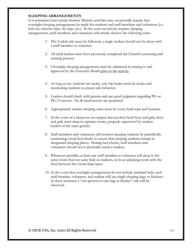#### **SLEEPING ARRANGEMENTS**

It is anticipated that certain Student Ministry activities may occasionally require that overnight sleeping arrangements be made for students and staff members and volunteers (i.e. lock-ins, mission trips, ski trips, etc.). In the event an activity requires sleeping arrangements, staff members and volunteers will strictly observe the following rules:

- 1. The 2-adult rule must be followed; a single student should not be alone with a staff member or volunteer.
- 2. All adult leaders must have previously completed the Church's screening and training process.
- 3. Overnight sleeping arrangements must be submitted in writing to and approved by the Executive Board prior to the activity.
- 4. As long as any students are awake, one trip leader must be awake and monitoring students to ensure safe behavior.
- 5. Leaders should check with parents and use good judgment regarding PG or PG-13 movies. No R-rated movies are permitted.
- 6. Appropriately modest sleeping attire must be worn; both tops and bottoms.
- 7. In the event of a sleepover on campus that involves both boys and girls, boys and girls must sleep in separate rooms, properly supervised by student leaders of the same gender.
- 8. Staff members and volunteers will monitor sleeping students by periodically conducting visual bed checks to ensure that sleeping students remain in designated sleeping places. During bed checks, staff members and volunteers should never physically touch a student.
- 9. Whenever possible, at least one staff member or volunteer will sleep in the same room (but not same bed) as students, or in an adjoining room with the door between the rooms kept open.
- 10. In the event that overnight arrangements do not include standard beds, each staff member, volunteer, and student will use single sleeping bags or blankets. In these instances a "one-person-to-one bag or blanket" rule will be observed.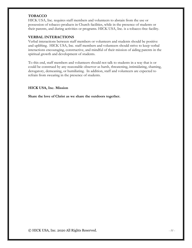#### **TOBACCO**

HICK USA, Inc. requires staff members and volunteers to abstain from the use or possession of tobacco products in Church facilities, while in the presence of students or their parents, and during activities or programs. HICK USA, Inc. is a tobacco-free facility.

#### **VERBAL INTERACTIONS**

Verbal interactions between staff members or volunteers and students should be positive and uplifting. HICK USA, Inc. staff members and volunteers should strive to keep verbal interactions encouraging, constructive, and mindful of their mission of aiding parents in the spiritual growth and development of students.

To this end, staff members and volunteers should not talk to students in a way that is or could be construed by any reasonable observer as harsh, threatening, intimidating, shaming, derogatory, demeaning, or humiliating. In addition, staff and volunteers are expected to refrain from swearing in the presence of students.

#### **HICK USA, Inc. Mission**

**Share the love of Christ as we share the outdoors together.**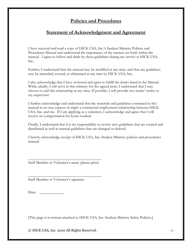## **Policies and Procedures**

### **Statement of Acknowledgment and Agreement**

I have received and read a copy of HICK USA, Inc.'s Student Ministry Policies and Procedures Manual and understand the importance of the matters set forth within the manual. I agree to follow and abide by these guidelines during my service at HICK USA, Inc..

Further, I understand that the manual may be modified at any time, and that any guidelines may be amended, revised, or eliminated at any time by HICK USA, Inc..

I also acknowledge that I have reviewed and agree to fulfill the duties listed in the Manual. While, ideally, I will serve in this ministry for the agreed term, I understand that I may choose to end this relationship at any time. If possible, I will provide two weeks' notice to my supervisor.

I further acknowledge and understand that the materials and guidelines contained in this manual in no way express or imply a contractual employment relationship between HICK USA, Inc. and me. If I am applying as a volunteer, I acknowledge and agree that I will receive no compensation for hours worked.

Finally, I understand that it is my responsibility to review new guidelines that are created and distributed as well as manual guidelines that are changed or deleted.

I hereby acknowledge receipt of HICK USA, Inc. Student Ministry policies and procedures manual.

 $\overline{\phantom{a}}$  , where the contract of the contract of the contract of the contract of the contract of the contract of the contract of the contract of the contract of the contract of the contract of the contract of the contr Staff Member or Volunteer's name (please print)

 $\overline{\phantom{a}}$  , where the contract of the contract of the contract of the contract of the contract of the contract of the contract of the contract of the contract of the contract of the contract of the contract of the contr

Staff Member or Volunteer's signature

Date:

[This page is to remain attached to HICK USA, Inc. Student Ministry Safety Policies.]

© HICK USA, Inc. 2020 All Rights Reserved. *- 12 -*